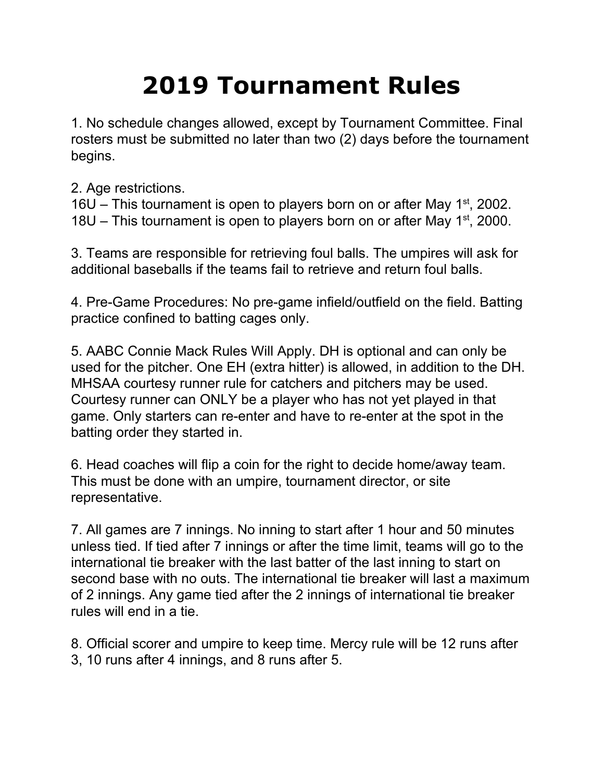## **2019 Tournament Rules**

1. No schedule changes allowed, except by Tournament Committee. Final rosters must be submitted no later than two (2) days before the tournament begins.

2. Age restrictions.

16U – This tournament is open to players born on or after May  $1<sup>st</sup>$ , 2002. 18U – This tournament is open to players born on or after May  $1<sup>st</sup>$ , 2000.

3. Teams are responsible for retrieving foul balls. The umpires will ask for additional baseballs if the teams fail to retrieve and return foul balls.

4. Pre-Game Procedures: No pre-game infield/outfield on the field. Batting practice confined to batting cages only.

5. AABC Connie Mack Rules Will Apply. DH is optional and can only be used for the pitcher. One EH (extra hitter) is allowed, in addition to the DH. MHSAA courtesy runner rule for catchers and pitchers may be used. Courtesy runner can ONLY be a player who has not yet played in that game. Only starters can re-enter and have to re-enter at the spot in the batting order they started in.

6. Head coaches will flip a coin for the right to decide home/away team. This must be done with an umpire, tournament director, or site representative.

7. All games are 7 innings. No inning to start after 1 hour and 50 minutes unless tied. If tied after 7 innings or after the time limit, teams will go to the international tie breaker with the last batter of the last inning to start on second base with no outs. The international tie breaker will last a maximum of 2 innings. Any game tied after the 2 innings of international tie breaker rules will end in a tie.

8. Official scorer and umpire to keep time. Mercy rule will be 12 runs after 3, 10 runs after 4 innings, and 8 runs after 5.